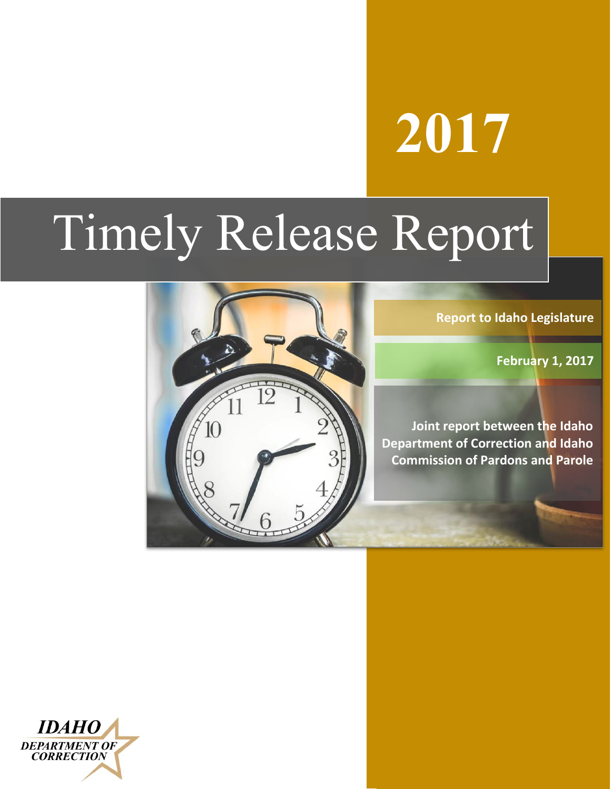# **2017**

# Timely Release Report



**Report to Idaho Legislature**

 **February 1, 2017**

**Joint report between the Idaho Department of Correction and Idaho Commission of Pardons and Parole**

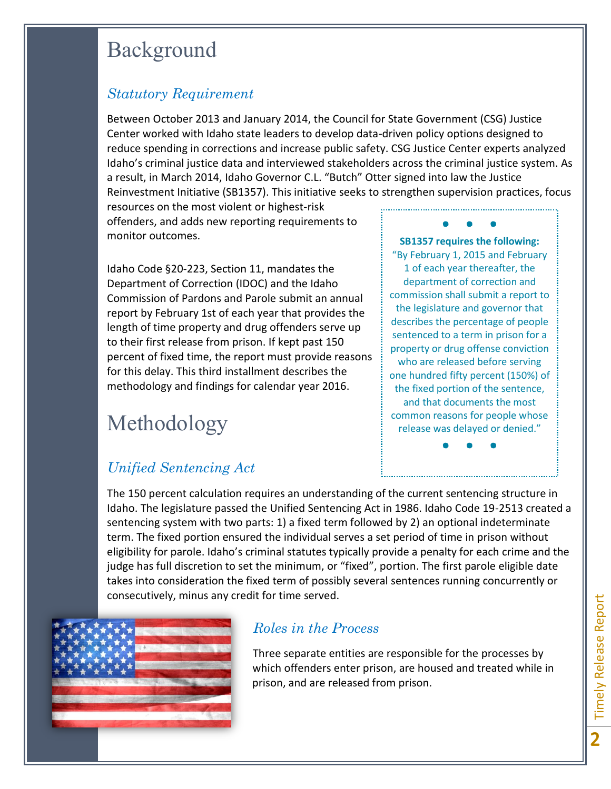## Background

#### *Statutory Requirement*

Between October 2013 and January 2014, the Council for State Government (CSG) Justice Center worked with Idaho state leaders to develop data-driven policy options designed to reduce spending in corrections and increase public safety. CSG Justice Center experts analyzed Idaho's criminal justice data and interviewed stakeholders across the criminal justice system. As a result, in March 2014, Idaho Governor C.L. "Butch" Otter signed into law the Justice Reinvestment Initiative (SB1357). This initiative seeks to strengthen supervision practices, focus

resources on the most violent or highest-risk offenders, and adds new reporting requirements to monitor outcomes.

Idaho Code §20-223, Section 11, mandates the Department of Correction (IDOC) and the Idaho Commission of Pardons and Parole submit an annual report by February 1st of each year that provides the length of time property and drug offenders serve up to their first release from prison. If kept past 150 percent of fixed time, the report must provide reasons for this delay. This third installment describes the methodology and findings for calendar year 2016.

## Methodology

### *Unified Sentencing Act*

● ● ● **SB1357 requires the following:**  "By February 1, 2015 and February 1 of each year thereafter, the department of correction and commission shall submit a report to the legislature and governor that describes the percentage of people sentenced to a term in prison for a property or drug offense conviction who are released before serving one hundred fifty percent (150%) of the fixed portion of the sentence, and that documents the most common reasons for people whose release was delayed or denied."

● ● ●

The 150 percent calculation requires an understanding of the current sentencing structure in Idaho. The legislature passed the Unified Sentencing Act in 1986. Idaho Code 19-2513 created a sentencing system with two parts: 1) a fixed term followed by 2) an optional indeterminate term. The fixed portion ensured the individual serves a set period of time in prison without eligibility for parole. Idaho's criminal statutes typically provide a penalty for each crime and the judge has full discretion to set the minimum, or "fixed", portion. The first parole eligible date takes into consideration the fixed term of possibly several sentences running concurrently or consecutively, minus any credit for time served.



#### *Roles in the Process*

Three separate entities are responsible for the processes by which offenders enter prison, are housed and treated while in prison, and are released from prison.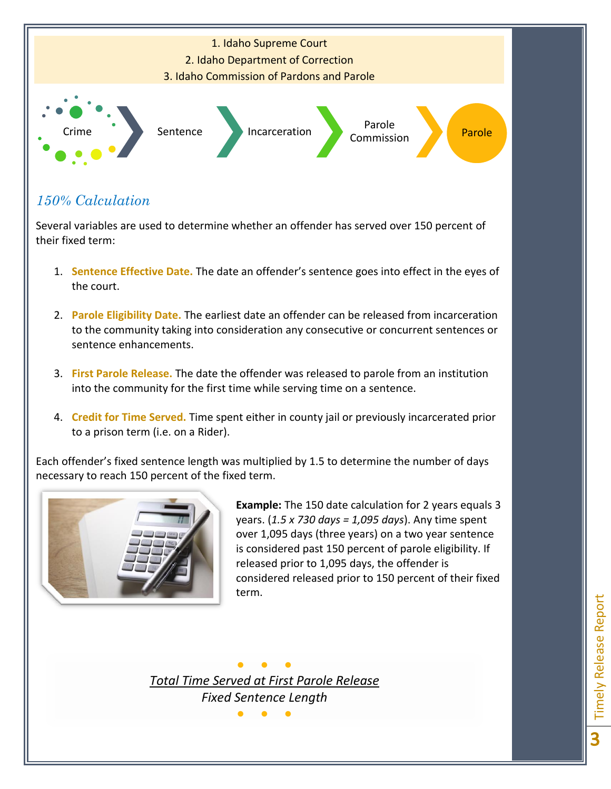

#### *150% Calculation*

Several variables are used to determine whether an offender has served over 150 percent of their fixed term:

- 1. **Sentence Effective Date.** The date an offender's sentence goes into effect in the eyes of the court.
- 2. **Parole Eligibility Date.** The earliest date an offender can be released from incarceration to the community taking into consideration any consecutive or concurrent sentences or sentence enhancements.
- 3. **First Parole Release.** The date the offender was released to parole from an institution into the community for the first time while serving time on a sentence.
- 4. **Credit for Time Served.** Time spent either in county jail or previously incarcerated prior to a prison term (i.e. on a Rider).

Each offender's fixed sentence length was multiplied by 1.5 to determine the number of days necessary to reach 150 percent of the fixed term.



**Example:** The 150 date calculation for 2 years equals 3 years. (*1.5 x 730 days = 1,095 days*). Any time spent over 1,095 days (three years) on a two year sentence is considered past 150 percent of parole eligibility. If released prior to 1,095 days, the offender is considered released prior to 150 percent of their fixed term.

● ● ● *Total Time Served at First Parole Release Fixed Sentence Length*

● ● ●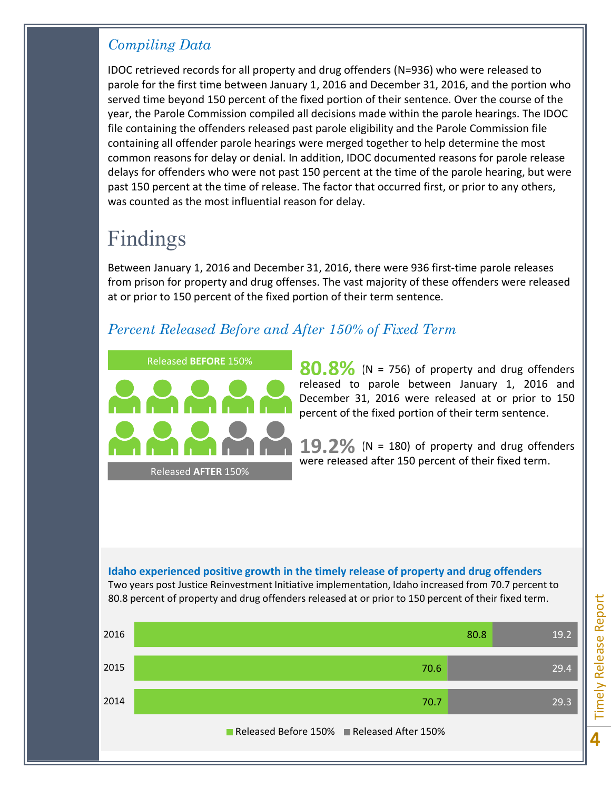#### *Compiling Data*

IDOC retrieved records for all property and drug offenders (N=936) who were released to parole for the first time between January 1, 2016 and December 31, 2016, and the portion who served time beyond 150 percent of the fixed portion of their sentence. Over the course of the year, the Parole Commission compiled all decisions made within the parole hearings. The IDOC file containing the offenders released past parole eligibility and the Parole Commission file containing all offender parole hearings were merged together to help determine the most common reasons for delay or denial. In addition, IDOC documented reasons for parole release delays for offenders who were not past 150 percent at the time of the parole hearing, but were past 150 percent at the time of release. The factor that occurred first, or prior to any others, was counted as the most influential reason for delay.

## Findings

Between January 1, 2016 and December 31, 2016, there were 936 first-time parole releases from prison for property and drug offenses. The vast majority of these offenders were released at or prior to 150 percent of the fixed portion of their term sentence.

#### *Percent Released Before and After 150% of Fixed Term*



80.8% (N = 756) of property and drug offenders released to parole between January 1, 2016 and December 31, 2016 were released at or prior to 150 percent of the fixed portion of their term sentence.

 $19.2\%$  (N = 180) of property and drug offenders were released after 150 percent of their fixed term.

#### **Idaho experienced positive growth in the timely release of property and drug offenders**

Two years post Justice Reinvestment Initiative implementation, Idaho increased from 70.7 percent to 80.8 percent of property and drug offenders released at or prior to 150 percent of their fixed term.



Timely Release Report **Timely Release Report**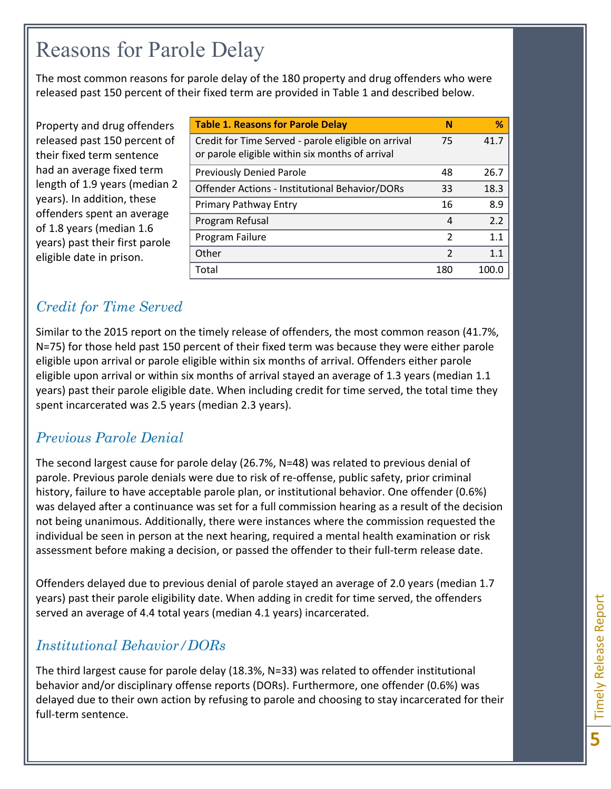## Reasons for Parole Delay

The most common reasons for parole delay of the 180 property and drug offenders who were released past 150 percent of their fixed term are provided in Table 1 and described below.

Property and drug offenders released past 150 percent of their fixed term sentence had an average fixed term length of 1.9 years (median 2 years). In addition, these offenders spent an average of 1.8 years (median 1.6 years) past their first parole eligible date in prison.

| <b>Table 1. Reasons for Parole Delay</b>                                                               | N              | %     |
|--------------------------------------------------------------------------------------------------------|----------------|-------|
| Credit for Time Served - parole eligible on arrival<br>or parole eligible within six months of arrival | 75             | 41.7  |
| <b>Previously Denied Parole</b>                                                                        | 48             | 26.7  |
| Offender Actions - Institutional Behavior/DORs                                                         | 33             | 18.3  |
| Primary Pathway Entry                                                                                  | 16             | 8.9   |
| Program Refusal                                                                                        | $\overline{a}$ | 2.2   |
| Program Failure                                                                                        | 2              | 1.1   |
| Other                                                                                                  | 2              | 1.1   |
| Total                                                                                                  | 180            | 100.0 |

### *Credit for Time Served*

Similar to the 2015 report on the timely release of offenders, the most common reason (41.7%, N=75) for those held past 150 percent of their fixed term was because they were either parole eligible upon arrival or parole eligible within six months of arrival. Offenders either parole eligible upon arrival or within six months of arrival stayed an average of 1.3 years (median 1.1 years) past their parole eligible date. When including credit for time served, the total time they spent incarcerated was 2.5 years (median 2.3 years).

#### *Previous Parole Denial*

The second largest cause for parole delay (26.7%, N=48) was related to previous denial of parole. Previous parole denials were due to risk of re-offense, public safety, prior criminal history, failure to have acceptable parole plan, or institutional behavior. One offender (0.6%) was delayed after a continuance was set for a full commission hearing as a result of the decision not being unanimous. Additionally, there were instances where the commission requested the individual be seen in person at the next hearing, required a mental health examination or risk assessment before making a decision, or passed the offender to their full-term release date.

Offenders delayed due to previous denial of parole stayed an average of 2.0 years (median 1.7 years) past their parole eligibility date. When adding in credit for time served, the offenders served an average of 4.4 total years (median 4.1 years) incarcerated.

#### *Institutional Behavior/DORs*

The third largest cause for parole delay (18.3%, N=33) was related to offender institutional behavior and/or disciplinary offense reports (DORs). Furthermore, one offender (0.6%) was delayed due to their own action by refusing to parole and choosing to stay incarcerated for their full-term sentence.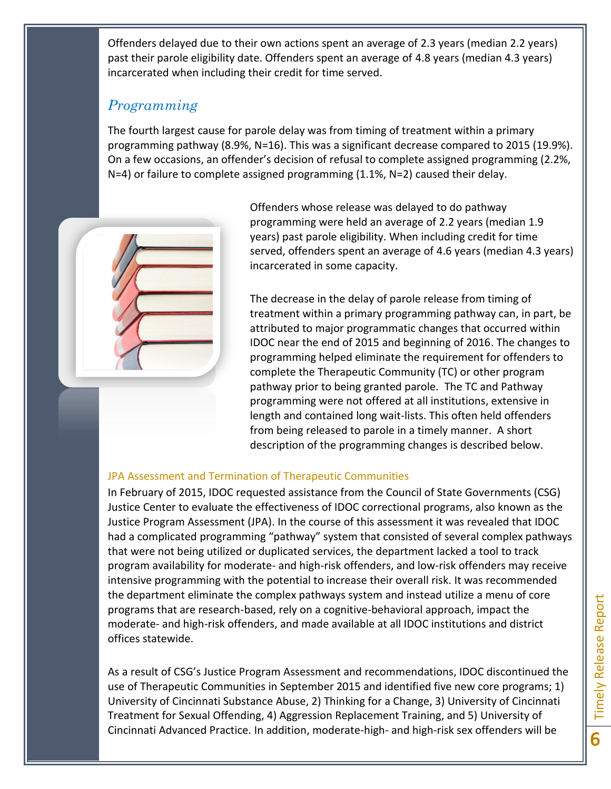Offenders delayed due to their own actions spent an average of 2.3 years (median 2.2 years) past their parole eligibility date. Offenders spent an average of 4.8 years (median 4.3 years) incarcerated when including their credit for time served.

#### *Programming*

The fourth largest cause for parole delay was from timing of treatment within a primary programming pathway (8.9%, N=16). This was a significant decrease compared to 2015 (19.9%). On a few occasions, an offender's decision of refusal to complete assigned programming (2.2%, N=4) or failure to complete assigned programming (1.1%, N=2) caused their delay.



Offenders whose release was delayed to do pathway programming were held an average of 2.2 years (median 1.9 years) past parole eligibility. When including credit for time served, offenders spent an average of 4.6 years (median 4.3 years) incarcerated in some capacity.

The decrease in the delay of parole release from timing of treatment within a primary programming pathway can, in part, be attributed to major programmatic changes that occurred within IDOC near the end of 2015 and beginning of 2016. The changes to programming helped eliminate the requirement for offenders to complete the Therapeutic Community (TC) or other program pathway prior to being granted parole. The TC and Pathway programming were not offered at all institutions, extensive in length and contained long wait-lists. This often held offenders from being released to parole in a timely manner. A short description of the programming changes is described below.

#### JPA Assessment and Termination of Therapeutic Communities

In February of 2015, IDOC requested assistance from the Council of State Governments (CSG) Justice Center to evaluate the effectiveness of IDOC correctional programs, also known as the Justice Program Assessment (JPA). In the course of this assessment it was revealed that IDOC had a complicated programming "pathway" system that consisted of several complex pathways that were not being utilized or duplicated services, the department lacked a tool to track program availability for moderate- and high-risk offenders, and low-risk offenders may receive intensive programming with the potential to increase their overall risk. It was recommended the department eliminate the complex pathways system and instead utilize a menu of core programs that are research-based, rely on a cognitive-behavioral approach, impact the moderate- and high-risk offenders, and made available at all IDOC institutions and district offices statewide.

As a result of CSG's Justice Program Assessment and recommendations, IDOC discontinued the use of Therapeutic Communities in September 2015 and identified five new core programs; 1) University of Cincinnati Substance Abuse, 2) Thinking for a Change, 3) University of Cincinnati Treatment for Sexual Offending, 4) Aggression Replacement Training, and 5) University of Cincinnati Advanced Practice. In addition, moderate-high- and high-risk sex offenders will be